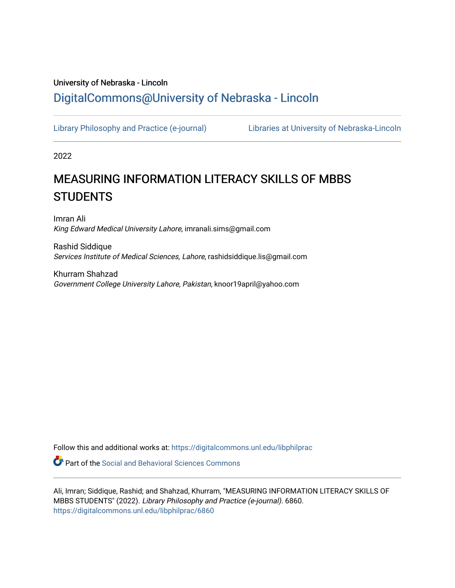# University of Nebraska - Lincoln [DigitalCommons@University of Nebraska - Lincoln](https://digitalcommons.unl.edu/)

[Library Philosophy and Practice \(e-journal\)](https://digitalcommons.unl.edu/libphilprac) [Libraries at University of Nebraska-Lincoln](https://digitalcommons.unl.edu/libraries) 

2022

# MEASURING INFORMATION LITERACY SKILLS OF MBBS **STUDENTS**

Imran Ali King Edward Medical University Lahore, imranali.sims@gmail.com

Rashid Siddique Services Institute of Medical Sciences, Lahore, rashidsiddique.lis@gmail.com

Khurram Shahzad Government College University Lahore, Pakistan, knoor19april@yahoo.com

Follow this and additional works at: [https://digitalcommons.unl.edu/libphilprac](https://digitalcommons.unl.edu/libphilprac?utm_source=digitalcommons.unl.edu%2Flibphilprac%2F6860&utm_medium=PDF&utm_campaign=PDFCoverPages) 

**C** Part of the Social and Behavioral Sciences Commons

Ali, Imran; Siddique, Rashid; and Shahzad, Khurram, "MEASURING INFORMATION LITERACY SKILLS OF MBBS STUDENTS" (2022). Library Philosophy and Practice (e-journal). 6860. [https://digitalcommons.unl.edu/libphilprac/6860](https://digitalcommons.unl.edu/libphilprac/6860?utm_source=digitalcommons.unl.edu%2Flibphilprac%2F6860&utm_medium=PDF&utm_campaign=PDFCoverPages)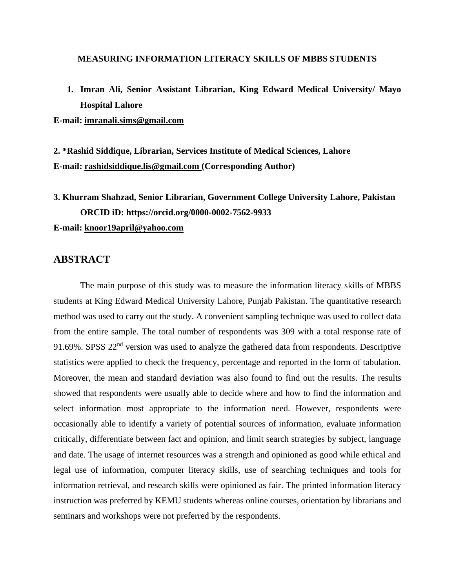#### **MEASURING INFORMATION LITERACY SKILLS OF MBBS STUDENTS**

**1. Imran Ali, Senior Assistant Librarian, King Edward Medical University/ Mayo Hospital Lahore**

**E-mail: imranali.sims@gmail.com**

**2. \*Rashid Siddique, Librarian, Services Institute of Medical Sciences, Lahore E-mail: [rashidsiddique.lis@gmail.com](mailto:rashidsiddique.lis@gmail.com) (Corresponding Author)**

# **3. Khurram Shahzad, Senior Librarian, Government College University Lahore, Pakistan ORCID iD: https://orcid.org/0000-0002-7562-9933 E-mail: [knoor19april@yahoo.com](mailto:knoor19april@yahoo.com)**

### **ABSTRACT**

The main purpose of this study was to measure the information literacy skills of MBBS students at King Edward Medical University Lahore, Punjab Pakistan. The quantitative research method was used to carry out the study. A convenient sampling technique was used to collect data from the entire sample. The total number of respondents was 309 with a total response rate of 91.69%. SPSS  $22<sup>nd</sup>$  version was used to analyze the gathered data from respondents. Descriptive statistics were applied to check the frequency, percentage and reported in the form of tabulation. Moreover, the mean and standard deviation was also found to find out the results. The results showed that respondents were usually able to decide where and how to find the information and select information most appropriate to the information need. However, respondents were occasionally able to identify a variety of potential sources of information, evaluate information critically, differentiate between fact and opinion, and limit search strategies by subject, language and date. The usage of internet resources was a strength and opinioned as good while ethical and legal use of information, computer literacy skills, use of searching techniques and tools for information retrieval, and research skills were opinioned as fair. The printed information literacy instruction was preferred by KEMU students whereas online courses, orientation by librarians and seminars and workshops were not preferred by the respondents.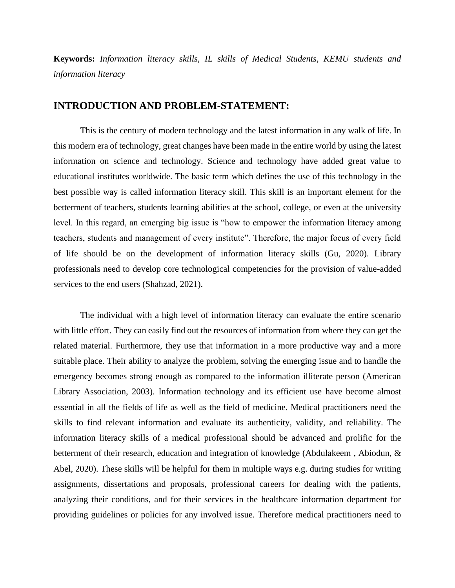**Keywords:** *Information literacy skills, IL skills of Medical Students, KEMU students and information literacy*

#### **INTRODUCTION AND PROBLEM-STATEMENT:**

This is the century of modern technology and the latest information in any walk of life. In this modern era of technology, great changes have been made in the entire world by using the latest information on science and technology. Science and technology have added great value to educational institutes worldwide. The basic term which defines the use of this technology in the best possible way is called information literacy skill. This skill is an important element for the betterment of teachers, students learning abilities at the school, college, or even at the university level. In this regard, an emerging big issue is "how to empower the information literacy among teachers, students and management of every institute". Therefore, the major focus of every field of life should be on the development of information literacy skills (Gu, 2020). Library professionals need to develop core technological competencies for the provision of value-added services to the end users (Shahzad, 2021).

The individual with a high level of information literacy can evaluate the entire scenario with little effort. They can easily find out the resources of information from where they can get the related material. Furthermore, they use that information in a more productive way and a more suitable place. Their ability to analyze the problem, solving the emerging issue and to handle the emergency becomes strong enough as compared to the information illiterate person (American Library Association, 2003). Information technology and its efficient use have become almost essential in all the fields of life as well as the field of medicine. Medical practitioners need the skills to find relevant information and evaluate its authenticity, validity, and reliability. The information literacy skills of a medical professional should be advanced and prolific for the betterment of their research, education and integration of knowledge (Abdulakeem , Abiodun, & Abel, 2020). These skills will be helpful for them in multiple ways e.g. during studies for writing assignments, dissertations and proposals, professional careers for dealing with the patients, analyzing their conditions, and for their services in the healthcare information department for providing guidelines or policies for any involved issue. Therefore medical practitioners need to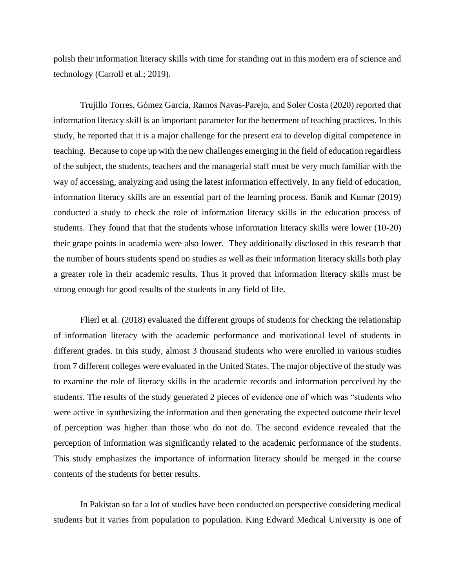polish their information literacy skills with time for standing out in this modern era of science and technology (Carroll et al.; 2019).

Trujillo Torres, Gómez García, Ramos Navas-Parejo, and Soler Costa (2020) reported that information literacy skill is an important parameter for the betterment of teaching practices. In this study, he reported that it is a major challenge for the present era to develop digital competence in teaching. Because to cope up with the new challenges emerging in the field of education regardless of the subject, the students, teachers and the managerial staff must be very much familiar with the way of accessing, analyzing and using the latest information effectively. In any field of education, information literacy skills are an essential part of the learning process. Banik and Kumar (2019) conducted a study to check the role of information literacy skills in the education process of students. They found that that the students whose information literacy skills were lower (10-20) their grape points in academia were also lower. They additionally disclosed in this research that the number of hours students spend on studies as well as their information literacy skills both play a greater role in their academic results. Thus it proved that information literacy skills must be strong enough for good results of the students in any field of life.

Flierl et al. (2018) evaluated the different groups of students for checking the relationship of information literacy with the academic performance and motivational level of students in different grades. In this study, almost 3 thousand students who were enrolled in various studies from 7 different colleges were evaluated in the United States. The major objective of the study was to examine the role of literacy skills in the academic records and information perceived by the students. The results of the study generated 2 pieces of evidence one of which was "students who were active in synthesizing the information and then generating the expected outcome their level of perception was higher than those who do not do. The second evidence revealed that the perception of information was significantly related to the academic performance of the students. This study emphasizes the importance of information literacy should be merged in the course contents of the students for better results.

In Pakistan so far a lot of studies have been conducted on perspective considering medical students but it varies from population to population. King Edward Medical University is one of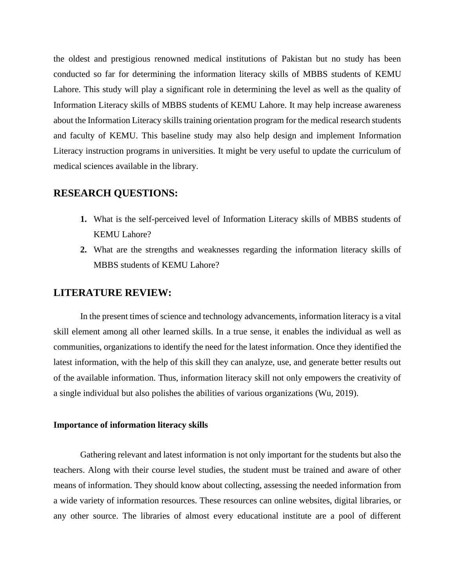the oldest and prestigious renowned medical institutions of Pakistan but no study has been conducted so far for determining the information literacy skills of MBBS students of KEMU Lahore. This study will play a significant role in determining the level as well as the quality of Information Literacy skills of MBBS students of KEMU Lahore. It may help increase awareness about the Information Literacy skills training orientation program for the medical research students and faculty of KEMU. This baseline study may also help design and implement Information Literacy instruction programs in universities. It might be very useful to update the curriculum of medical sciences available in the library.

# **RESEARCH QUESTIONS:**

- **1.** What is the self-perceived level of Information Literacy skills of MBBS students of KEMU Lahore?
- **2.** What are the strengths and weaknesses regarding the information literacy skills of MBBS students of KEMU Lahore?

# **LITERATURE REVIEW:**

In the present times of science and technology advancements, information literacy is a vital skill element among all other learned skills. In a true sense, it enables the individual as well as communities, organizations to identify the need for the latest information. Once they identified the latest information, with the help of this skill they can analyze, use, and generate better results out of the available information. Thus, information literacy skill not only empowers the creativity of a single individual but also polishes the abilities of various organizations (Wu, 2019).

#### **Importance of information literacy skills**

Gathering relevant and latest information is not only important for the students but also the teachers. Along with their course level studies, the student must be trained and aware of other means of information. They should know about collecting, assessing the needed information from a wide variety of information resources. These resources can online websites, digital libraries, or any other source. The libraries of almost every educational institute are a pool of different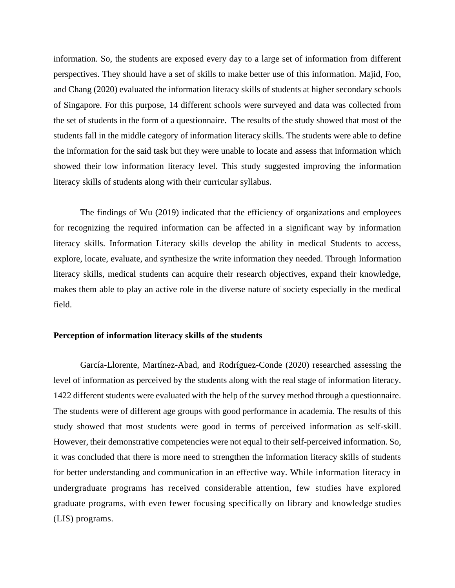information. So, the students are exposed every day to a large set of information from different perspectives. They should have a set of skills to make better use of this information. Majid, Foo, and Chang (2020) evaluated the information literacy skills of students at higher secondary schools of Singapore. For this purpose, 14 different schools were surveyed and data was collected from the set of students in the form of a questionnaire. The results of the study showed that most of the students fall in the middle category of information literacy skills. The students were able to define the information for the said task but they were unable to locate and assess that information which showed their low information literacy level. This study suggested improving the information literacy skills of students along with their curricular syllabus.

The findings of Wu (2019) indicated that the efficiency of organizations and employees for recognizing the required information can be affected in a significant way by information literacy skills. Information Literacy skills develop the ability in medical Students to access, explore, locate, evaluate, and synthesize the write information they needed. Through Information literacy skills, medical students can acquire their research objectives, expand their knowledge, makes them able to play an active role in the diverse nature of society especially in the medical field.

#### **Perception of information literacy skills of the students**

García-Llorente, Martínez-Abad, and Rodríguez-Conde (2020) researched assessing the level of information as perceived by the students along with the real stage of information literacy. 1422 different students were evaluated with the help of the survey method through a questionnaire. The students were of different age groups with good performance in academia. The results of this study showed that most students were good in terms of perceived information as self-skill. However, their demonstrative competencies were not equal to their self-perceived information. So, it was concluded that there is more need to strengthen the information literacy skills of students for better understanding and communication in an effective way. While information literacy in undergraduate programs has received considerable attention, few studies have explored graduate programs, with even fewer focusing specifically on library and knowledge studies (LIS) programs.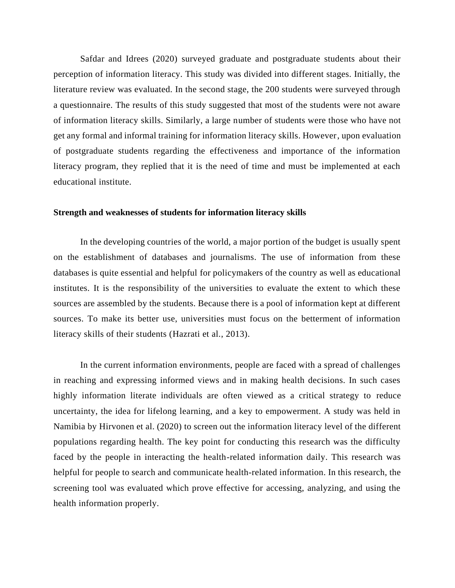Safdar and Idrees (2020) surveyed graduate and postgraduate students about their perception of information literacy. This study was divided into different stages. Initially, the literature review was evaluated. In the second stage, the 200 students were surveyed through a questionnaire. The results of this study suggested that most of the students were not aware of information literacy skills. Similarly, a large number of students were those who have not get any formal and informal training for information literacy skills. However, upon evaluation of postgraduate students regarding the effectiveness and importance of the information literacy program, they replied that it is the need of time and must be implemented at each educational institute.

#### **Strength and weaknesses of students for information literacy skills**

In the developing countries of the world, a major portion of the budget is usually spent on the establishment of databases and journalisms. The use of information from these databases is quite essential and helpful for policymakers of the country as well as educational institutes. It is the responsibility of the universities to evaluate the extent to which these sources are assembled by the students. Because there is a pool of information kept at different sources. To make its better use, universities must focus on the betterment of information literacy skills of their students (Hazrati et al., 2013).

In the current information environments, people are faced with a spread of challenges in reaching and expressing informed views and in making health decisions. In such cases highly information literate individuals are often viewed as a critical strategy to reduce uncertainty, the idea for lifelong learning, and a key to empowerment. A study was held in Namibia by Hirvonen et al. (2020) to screen out the information literacy level of the different populations regarding health. The key point for conducting this research was the difficulty faced by the people in interacting the health-related information daily. This research was helpful for people to search and communicate health-related information. In this research, the screening tool was evaluated which prove effective for accessing, analyzing, and using the health information properly.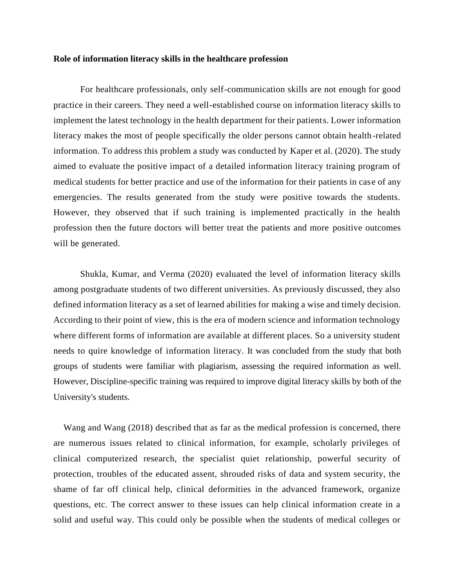#### **Role of information literacy skills in the healthcare profession**

For healthcare professionals, only self-communication skills are not enough for good practice in their careers. They need a well-established course on information literacy skills to implement the latest technology in the health department for their patients. Lower information literacy makes the most of people specifically the older persons cannot obtain health-related information. To address this problem a study was conducted by Kaper et al. (2020). The study aimed to evaluate the positive impact of a detailed information literacy training program of medical students for better practice and use of the information for their patients in case of any emergencies. The results generated from the study were positive towards the students. However, they observed that if such training is implemented practically in the health profession then the future doctors will better treat the patients and more positive outcomes will be generated.

Shukla, Kumar, and Verma (2020) evaluated the level of information literacy skills among postgraduate students of two different universities. As previously discussed, they also defined information literacy as a set of learned abilities for making a wise and timely decision. According to their point of view, this is the era of modern science and information technology where different forms of information are available at different places. So a university student needs to quire knowledge of information literacy. It was concluded from the study that both groups of students were familiar with plagiarism, assessing the required information as well. However, Discipline-specific training was required to improve digital literacy skills by both of the University's students.

Wang and Wang (2018) described that as far as the medical profession is concerned, there are numerous issues related to clinical information, for example, scholarly privileges of clinical computerized research, the specialist quiet relationship, powerful security of protection, troubles of the educated assent, shrouded risks of data and system security, the shame of far off clinical help, clinical deformities in the advanced framework, organize questions, etc. The correct answer to these issues can help clinical information create in a solid and useful way. This could only be possible when the students of medical colleges or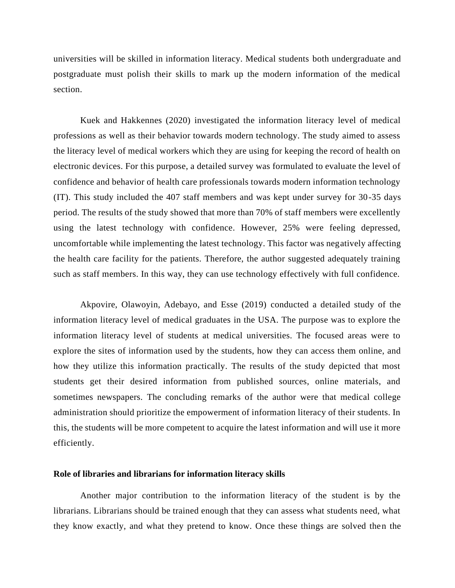universities will be skilled in information literacy. Medical students both undergraduate and postgraduate must polish their skills to mark up the modern information of the medical section.

Kuek and Hakkennes (2020) investigated the information literacy level of medical professions as well as their behavior towards modern technology. The study aimed to assess the literacy level of medical workers which they are using for keeping the record of health on electronic devices. For this purpose, a detailed survey was formulated to evaluate the level of confidence and behavior of health care professionals towards modern information technology (IT). This study included the 407 staff members and was kept under survey for 30-35 days period. The results of the study showed that more than 70% of staff members were excellently using the latest technology with confidence. However, 25% were feeling depressed, uncomfortable while implementing the latest technology. This factor was negatively affecting the health care facility for the patients. Therefore, the author suggested adequately training such as staff members. In this way, they can use technology effectively with full confidence.

Akpovire, Olawoyin, Adebayo, and Esse (2019) conducted a detailed study of the information literacy level of medical graduates in the USA. The purpose was to explore the information literacy level of students at medical universities. The focused areas were to explore the sites of information used by the students, how they can access them online, and how they utilize this information practically. The results of the study depicted that most students get their desired information from published sources, online materials, and sometimes newspapers. The concluding remarks of the author were that medical college administration should prioritize the empowerment of information literacy of their students. In this, the students will be more competent to acquire the latest information and will use it more efficiently.

#### **Role of libraries and librarians for information literacy skills**

Another major contribution to the information literacy of the student is by the librarians. Librarians should be trained enough that they can assess what students need, what they know exactly, and what they pretend to know. Once these things are solved then the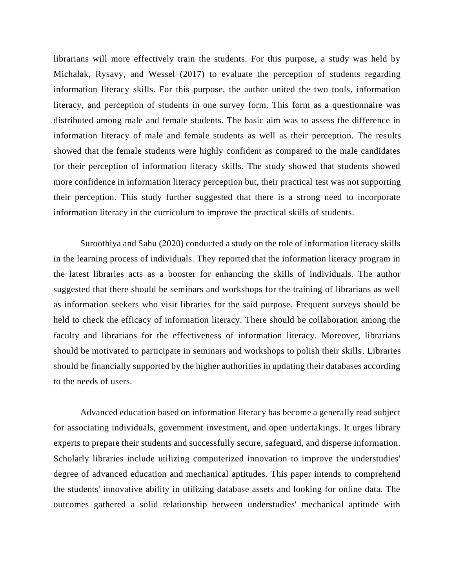librarians will more effectively train the students. For this purpose, a study was held by Michalak, Rysavy, and Wessel (2017) to evaluate the perception of students regarding information literacy skills. For this purpose, the author united the two tools, information literacy, and perception of students in one survey form. This form as a questionnaire was distributed among male and female students. The basic aim was to assess the difference in information literacy of male and female students as well as their perception. The results showed that the female students were highly confident as compared to the male candidates for their perception of information literacy skills. The study showed that students showed more confidence in information literacy perception but, their practical test was not supporting their perception. This study further suggested that there is a strong need to incorporate information literacy in the curriculum to improve the practical skills of students.

Suroothiya and Sahu (2020) conducted a study on the role of information literacy skills in the learning process of individuals. They reported that the information literacy program in the latest libraries acts as a booster for enhancing the skills of individuals. The author suggested that there should be seminars and workshops for the training of librarians as well as information seekers who visit libraries for the said purpose. Frequent surveys should be held to check the efficacy of information literacy. There should be collaboration among the faculty and librarians for the effectiveness of information literacy. Moreover, librarians should be motivated to participate in seminars and workshops to polish their skills. Libraries should be financially supported by the higher authorities in updating their databases according to the needs of users.

Advanced education based on information literacy has become a generally read subject for associating individuals, government investment, and open undertakings. It urges library experts to prepare their students and successfully secure, safeguard, and disperse information. Scholarly libraries include utilizing computerized innovation to improve the understudies' degree of advanced education and mechanical aptitudes. This paper intends to comprehend the students' innovative ability in utilizing database assets and looking for online data. The outcomes gathered a solid relationship between understudies' mechanical aptitude with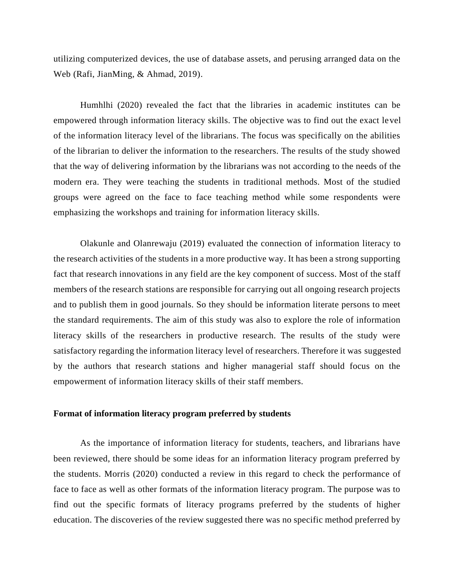utilizing computerized devices, the use of database assets, and perusing arranged data on the Web (Rafi, JianMing, & Ahmad, 2019).

Humhlhi (2020) revealed the fact that the libraries in academic institutes can be empowered through information literacy skills. The objective was to find out the exact level of the information literacy level of the librarians. The focus was specifically on the abilities of the librarian to deliver the information to the researchers. The results of the study showed that the way of delivering information by the librarians was not according to the needs of the modern era. They were teaching the students in traditional methods. Most of the studied groups were agreed on the face to face teaching method while some respondents were emphasizing the workshops and training for information literacy skills.

Olakunle and Olanrewaju (2019) evaluated the connection of information literacy to the research activities of the students in a more productive way. It has been a strong supporting fact that research innovations in any field are the key component of success. Most of the staff members of the research stations are responsible for carrying out all ongoing research projects and to publish them in good journals. So they should be information literate persons to meet the standard requirements. The aim of this study was also to explore the role of information literacy skills of the researchers in productive research. The results of the study were satisfactory regarding the information literacy level of researchers. Therefore it was suggested by the authors that research stations and higher managerial staff should focus on the empowerment of information literacy skills of their staff members.

#### **Format of information literacy program preferred by students**

As the importance of information literacy for students, teachers, and librarians have been reviewed, there should be some ideas for an information literacy program preferred by the students. Morris (2020) conducted a review in this regard to check the performance of face to face as well as other formats of the information literacy program. The purpose was to find out the specific formats of literacy programs preferred by the students of higher education. The discoveries of the review suggested there was no specific method preferred by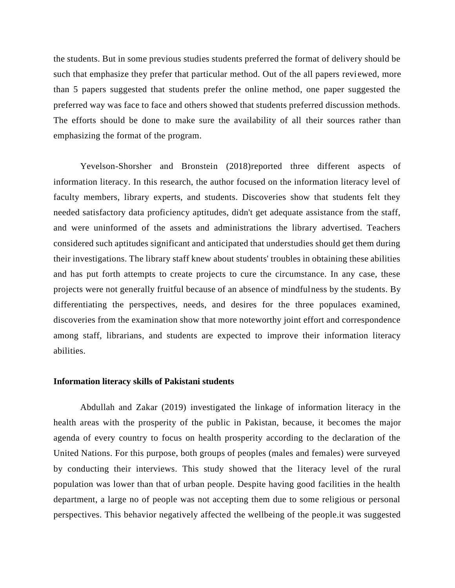the students. But in some previous studies students preferred the format of delivery should be such that emphasize they prefer that particular method. Out of the all papers reviewed, more than 5 papers suggested that students prefer the online method, one paper suggested the preferred way was face to face and others showed that students preferred discussion methods. The efforts should be done to make sure the availability of all their sources rather than emphasizing the format of the program.

Yevelson-Shorsher and Bronstein (2018)reported three different aspects of information literacy. In this research, the author focused on the information literacy level of faculty members, library experts, and students. Discoveries show that students felt they needed satisfactory data proficiency aptitudes, didn't get adequate assistance from the staff, and were uninformed of the assets and administrations the library advertised. Teachers considered such aptitudes significant and anticipated that understudies should get them during their investigations. The library staff knew about students' troubles in obtaining these abilities and has put forth attempts to create projects to cure the circumstance. In any case, these projects were not generally fruitful because of an absence of mindfulness by the students. By differentiating the perspectives, needs, and desires for the three populaces examined, discoveries from the examination show that more noteworthy joint effort and correspondence among staff, librarians, and students are expected to improve their information literacy abilities.

#### **Information literacy skills of Pakistani students**

Abdullah and Zakar (2019) investigated the linkage of information literacy in the health areas with the prosperity of the public in Pakistan, because, it becomes the major agenda of every country to focus on health prosperity according to the declaration of the United Nations. For this purpose, both groups of peoples (males and females) were surveyed by conducting their interviews. This study showed that the literacy level of the rural population was lower than that of urban people. Despite having good facilities in the health department, a large no of people was not accepting them due to some religious or personal perspectives. This behavior negatively affected the wellbeing of the people.it was suggested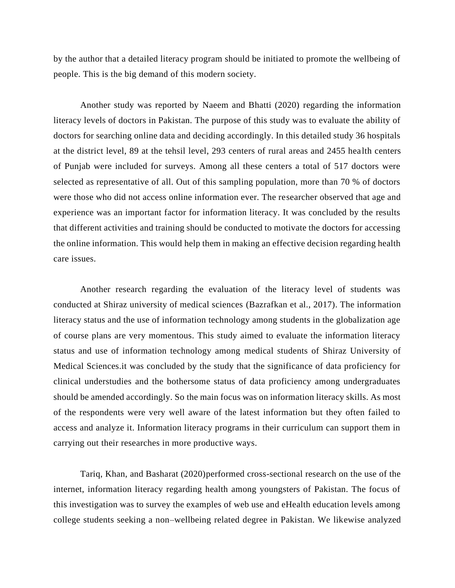by the author that a detailed literacy program should be initiated to promote the wellbeing of people. This is the big demand of this modern society.

Another study was reported by Naeem and Bhatti (2020) regarding the information literacy levels of doctors in Pakistan. The purpose of this study was to evaluate the ability of doctors for searching online data and deciding accordingly. In this detailed study 36 hospitals at the district level, 89 at the tehsil level, 293 centers of rural areas and 2455 health centers of Punjab were included for surveys. Among all these centers a total of 517 doctors were selected as representative of all. Out of this sampling population, more than 70 % of doctors were those who did not access online information ever. The researcher observed that age and experience was an important factor for information literacy. It was concluded by the results that different activities and training should be conducted to motivate the doctors for accessing the online information. This would help them in making an effective decision regarding health care issues.

Another research regarding the evaluation of the literacy level of students was conducted at Shiraz university of medical sciences (Bazrafkan et al., 2017). The information literacy status and the use of information technology among students in the globalization age of course plans are very momentous. This study aimed to evaluate the information literacy status and use of information technology among medical students of Shiraz University of Medical Sciences.it was concluded by the study that the significance of data proficiency for clinical understudies and the bothersome status of data proficiency among undergraduates should be amended accordingly. So the main focus was on information literacy skills. As most of the respondents were very well aware of the latest information but they often failed to access and analyze it. Information literacy programs in their curriculum can support them in carrying out their researches in more productive ways.

Tariq, Khan, and Basharat (2020)performed cross-sectional research on the use of the internet, information literacy regarding health among youngsters of Pakistan. The focus of this investigation was to survey the examples of web use and eHealth education levels among college students seeking a non–wellbeing related degree in Pakistan. We likewise analyzed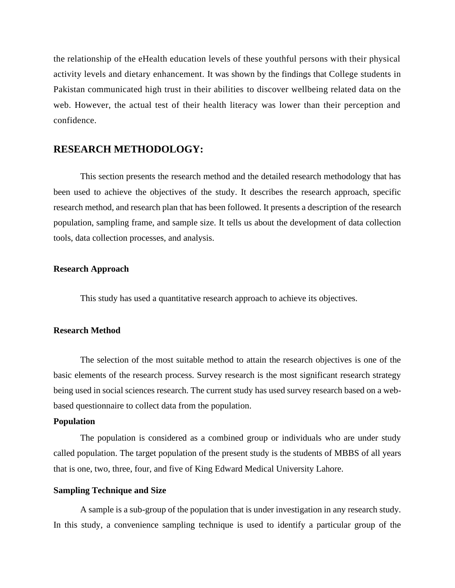the relationship of the eHealth education levels of these youthful persons with their physical activity levels and dietary enhancement. It was shown by the findings that College students in Pakistan communicated high trust in their abilities to discover wellbeing related data on the web. However, the actual test of their health literacy was lower than their perception and confidence.

# **RESEARCH METHODOLOGY:**

This section presents the research method and the detailed research methodology that has been used to achieve the objectives of the study. It describes the research approach, specific research method, and research plan that has been followed. It presents a description of the research population, sampling frame, and sample size. It tells us about the development of data collection tools, data collection processes, and analysis.

#### **Research Approach**

This study has used a quantitative research approach to achieve its objectives.

#### **Research Method**

The selection of the most suitable method to attain the research objectives is one of the basic elements of the research process. Survey research is the most significant research strategy being used in social sciences research. The current study has used survey research based on a webbased questionnaire to collect data from the population.

#### **Population**

The population is considered as a combined group or individuals who are under study called population. The target population of the present study is the students of MBBS of all years that is one, two, three, four, and five of King Edward Medical University Lahore.

#### **Sampling Technique and Size**

A sample is a sub-group of the population that is under investigation in any research study. In this study, a convenience sampling technique is used to identify a particular group of the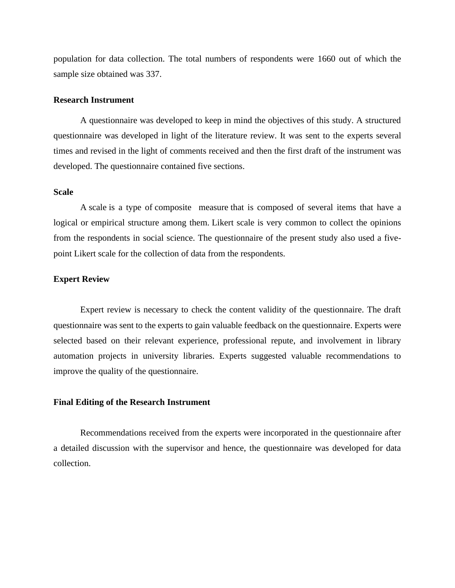population for data collection. The total numbers of respondents were 1660 out of which the sample size obtained was 337.

#### **Research Instrument**

A questionnaire was developed to keep in mind the objectives of this study. A structured questionnaire was developed in light of the literature review. It was sent to the experts several times and revised in the light of comments received and then the first draft of the instrument was developed. The questionnaire contained five sections.

#### **Scale**

A [scale](https://www.thoughtco.com/indexes-and-scales-3026544) is a type of [composite measure](https://www.thoughtco.com/index-for-research-3026543) that is composed of several items that have a logical or empirical structure among them. Likert scale is very common to collect the opinions from the respondents in social science. The questionnaire of the present study also used a fivepoint Likert scale for the collection of data from the respondents.

#### **Expert Review**

Expert review is necessary to check the content validity of the questionnaire. The draft questionnaire was sent to the experts to gain valuable feedback on the questionnaire. Experts were selected based on their relevant experience, professional repute, and involvement in library automation projects in university libraries. Experts suggested valuable recommendations to improve the quality of the questionnaire.

#### **Final Editing of the Research Instrument**

Recommendations received from the experts were incorporated in the questionnaire after a detailed discussion with the supervisor and hence, the questionnaire was developed for data collection.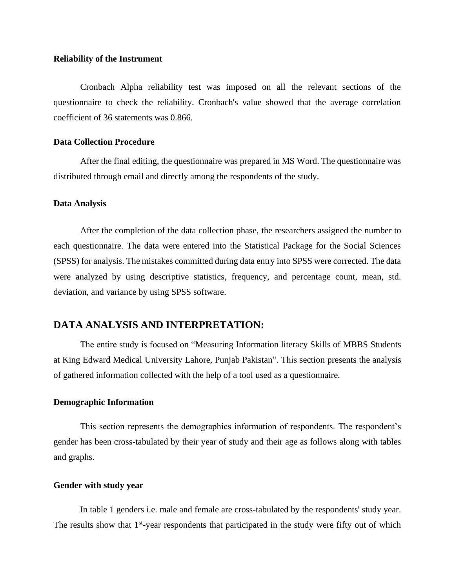#### **Reliability of the Instrument**

Cronbach Alpha reliability test was imposed on all the relevant sections of the questionnaire to check the reliability. Cronbach's value showed that the average correlation coefficient of 36 statements was 0.866.

#### **Data Collection Procedure**

After the final editing, the questionnaire was prepared in MS Word. The questionnaire was distributed through email and directly among the respondents of the study.

#### **Data Analysis**

After the completion of the data collection phase, the researchers assigned the number to each questionnaire. The data were entered into the Statistical Package for the Social Sciences (SPSS) for analysis. The mistakes committed during data entry into SPSS were corrected. The data were analyzed by using descriptive statistics, frequency, and percentage count, mean, std. deviation, and variance by using SPSS software.

# **DATA ANALYSIS AND INTERPRETATION:**

The entire study is focused on "Measuring Information literacy Skills of MBBS Students at King Edward Medical University Lahore, Punjab Pakistan". This section presents the analysis of gathered information collected with the help of a tool used as a questionnaire.

#### **Demographic Information**

This section represents the demographics information of respondents. The respondent's gender has been cross-tabulated by their year of study and their age as follows along with tables and graphs.

#### **Gender with study year**

In table 1 genders i.e. male and female are cross-tabulated by the respondents' study year. The results show that 1<sup>st</sup>-year respondents that participated in the study were fifty out of which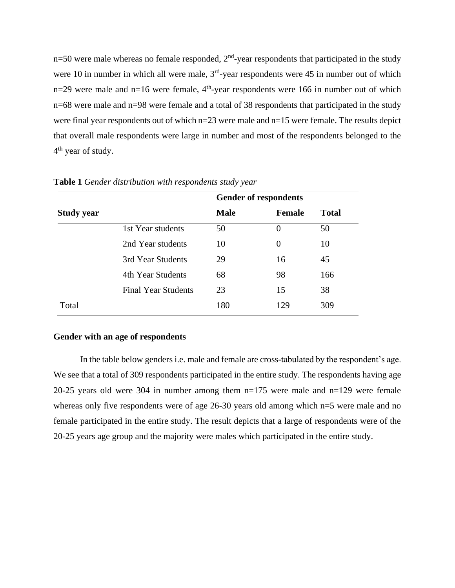$n=50$  were male whereas no female responded,  $2<sup>nd</sup>$ -year respondents that participated in the study were 10 in number in which all were male,  $3<sup>rd</sup>$ -year respondents were 45 in number out of which  $n=29$  were male and  $n=16$  were female,  $4<sup>th</sup>$ -year respondents were 166 in number out of which n=68 were male and n=98 were female and a total of 38 respondents that participated in the study were final year respondents out of which n=23 were male and n=15 were female. The results depict that overall male respondents were large in number and most of the respondents belonged to the 4<sup>th</sup> year of study.

|                   |                            | <b>Gender of respondents</b> |               |              |  |
|-------------------|----------------------------|------------------------------|---------------|--------------|--|
| <b>Study year</b> |                            | <b>Male</b>                  | <b>Female</b> | <b>Total</b> |  |
|                   | 1st Year students          | 50                           | $\Omega$      | 50           |  |
|                   | 2nd Year students          | 10                           | 0             | 10           |  |
|                   | 3rd Year Students          | 29                           | 16            | 45           |  |
|                   | 4th Year Students          | 68                           | 98            | 166          |  |
|                   | <b>Final Year Students</b> | 23                           | 15            | 38           |  |
| Total             |                            | 180                          | 129           | 309          |  |

**Table 1** *Gender distribution with respondents study year*

#### **Gender with an age of respondents**

In the table below genders i.e. male and female are cross-tabulated by the respondent's age. We see that a total of 309 respondents participated in the entire study. The respondents having age 20-25 years old were 304 in number among them n=175 were male and n=129 were female whereas only five respondents were of age 26-30 years old among which n=5 were male and no female participated in the entire study. The result depicts that a large of respondents were of the 20-25 years age group and the majority were males which participated in the entire study.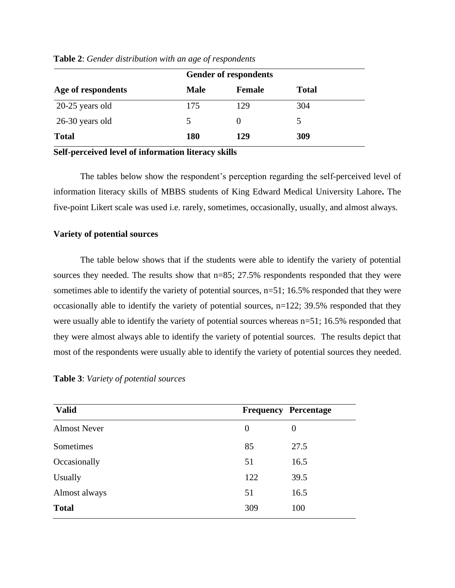|                    |             | <b>Gender of respondents</b> |              |  |
|--------------------|-------------|------------------------------|--------------|--|
| Age of respondents | <b>Male</b> | <b>Female</b>                | <b>Total</b> |  |
| $20-25$ years old  | 175         | 129                          | 304          |  |
| 26-30 years old    | 5           | $\theta$                     | 5            |  |
| <b>Total</b>       | 180         | 129                          | 309          |  |

#### **Table 2**: *Gender distribution with an age of respondents*

**Self-perceived level of information literacy skills**

The tables below show the respondent's perception regarding the self-perceived level of information literacy skills of MBBS students of King Edward Medical University Lahore**.** The five-point Likert scale was used i.e. rarely, sometimes, occasionally, usually, and almost always.

#### **Variety of potential sources**

The table below shows that if the students were able to identify the variety of potential sources they needed. The results show that  $n=85$ ; 27.5% respondents responded that they were sometimes able to identify the variety of potential sources, n=51; 16.5% responded that they were occasionally able to identify the variety of potential sources, n=122; 39.5% responded that they were usually able to identify the variety of potential sources whereas n=51; 16.5% responded that they were almost always able to identify the variety of potential sources. The results depict that most of the respondents were usually able to identify the variety of potential sources they needed.

| <b>Valid</b>        |                | <b>Frequency Percentage</b> |
|---------------------|----------------|-----------------------------|
| <b>Almost Never</b> | $\overline{0}$ | $\theta$                    |
| Sometimes           | 85             | 27.5                        |
| Occasionally        | 51             | 16.5                        |
| Usually             | 122            | 39.5                        |
| Almost always       | 51             | 16.5                        |
| <b>Total</b>        | 309            | 100                         |

**Table 3**: *Variety of potential sources*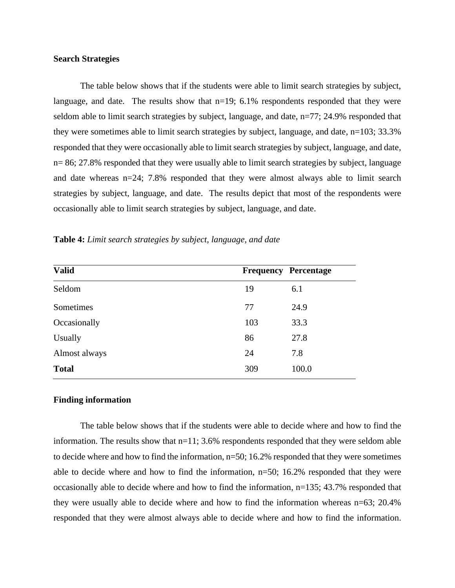#### **Search Strategies**

The table below shows that if the students were able to limit search strategies by subject, language, and date*.* The results show that n=19; 6.1% respondents responded that they were seldom able to limit search strategies by subject, language, and date, n=77; 24.9% responded that they were sometimes able to limit search strategies by subject, language, and date, n=103; 33.3% responded that they were occasionally able to limit search strategies by subject, language, and date, n= 86; 27.8% responded that they were usually able to limit search strategies by subject, language and date whereas n=24; 7.8% responded that they were almost always able to limit search strategies by subject, language, and date. The results depict that most of the respondents were occasionally able to limit search strategies by subject, language, and date.

| <b>Valid</b>  |     | <b>Frequency Percentage</b> |
|---------------|-----|-----------------------------|
| Seldom        | 19  | 6.1                         |
| Sometimes     | 77  | 24.9                        |
| Occasionally  | 103 | 33.3                        |
| Usually       | 86  | 27.8                        |
| Almost always | 24  | 7.8                         |
| <b>Total</b>  | 309 | 100.0                       |
|               |     |                             |

**Table 4:** *Limit search strategies by subject, language, and date*

#### **Finding information**

The table below shows that if the students were able to decide where and how to find the information. The results show that n=11; 3.6% respondents responded that they were seldom able to decide where and how to find the information, n=50; 16.2% responded that they were sometimes able to decide where and how to find the information,  $n=50$ ; 16.2% responded that they were occasionally able to decide where and how to find the information, n=135; 43.7% responded that they were usually able to decide where and how to find the information whereas n=63; 20.4% responded that they were almost always able to decide where and how to find the information.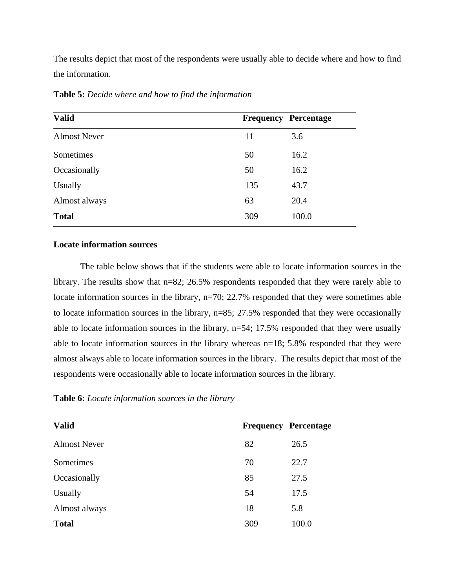The results depict that most of the respondents were usually able to decide where and how to find the information.

| <b>Valid</b>        |     | <b>Frequency Percentage</b> |
|---------------------|-----|-----------------------------|
| <b>Almost Never</b> | 11  | 3.6                         |
| Sometimes           | 50  | 16.2                        |
| Occasionally        | 50  | 16.2                        |
| Usually             | 135 | 43.7                        |
| Almost always       | 63  | 20.4                        |
| <b>Total</b>        | 309 | 100.0                       |

**Table 5:** *Decide where and how to find the information*

#### **Locate information sources**

The table below shows that if the students were able to locate information sources in the library. The results show that  $n=82$ ; 26.5% respondents responded that they were rarely able to locate information sources in the library, n=70; 22.7% responded that they were sometimes able to locate information sources in the library, n=85; 27.5% responded that they were occasionally able to locate information sources in the library, n=54; 17.5% responded that they were usually able to locate information sources in the library whereas n=18; 5.8% responded that they were almost always able to locate information sources in the library. The results depict that most of the respondents were occasionally able to locate information sources in the library.

**Table 6:** *Locate information sources in the library*

| <b>Valid</b>        | <b>Frequency Percentage</b> |       |
|---------------------|-----------------------------|-------|
| <b>Almost Never</b> | 82                          | 26.5  |
| Sometimes           | 70                          | 22.7  |
| Occasionally        | 85                          | 27.5  |
| Usually             | 54                          | 17.5  |
| Almost always       | 18                          | 5.8   |
| <b>Total</b>        | 309                         | 100.0 |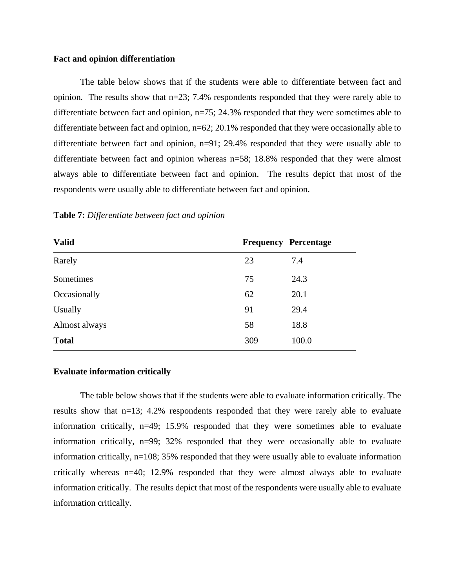#### **Fact and opinion differentiation**

The table below shows that if the students were able to differentiate between fact and opinion*.* The results show that n=23; 7.4% respondents responded that they were rarely able to differentiate between fact and opinion, n=75; 24.3% responded that they were sometimes able to differentiate between fact and opinion,  $n=62$ ; 20.1% responded that they were occasionally able to differentiate between fact and opinion, n=91; 29.4% responded that they were usually able to differentiate between fact and opinion whereas n=58; 18.8% responded that they were almost always able to differentiate between fact and opinion. The results depict that most of the respondents were usually able to differentiate between fact and opinion.

| <b>Valid</b>   |     | <b>Frequency Percentage</b> |
|----------------|-----|-----------------------------|
| Rarely         | 23  | 7.4                         |
| Sometimes      | 75  | 24.3                        |
| Occasionally   | 62  | 20.1                        |
| <b>Usually</b> | 91  | 29.4                        |
| Almost always  | 58  | 18.8                        |
| <b>Total</b>   | 309 | 100.0                       |

**Table 7:** *Differentiate between fact and opinion*

#### **Evaluate information critically**

The table below shows that if the students were able to evaluate information critically. The results show that n=13; 4.2% respondents responded that they were rarely able to evaluate information critically, n=49; 15.9% responded that they were sometimes able to evaluate information critically, n=99; 32% responded that they were occasionally able to evaluate information critically, n=108; 35% responded that they were usually able to evaluate information critically whereas  $n=40$ ; 12.9% responded that they were almost always able to evaluate information critically. The results depict that most of the respondents were usually able to evaluate information critically.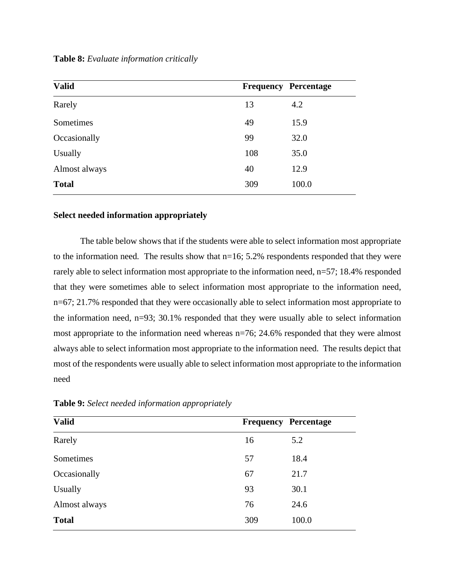**Table 8:** *Evaluate information critically*

| <b>Valid</b>  |     | <b>Frequency Percentage</b> |
|---------------|-----|-----------------------------|
| Rarely        | 13  | 4.2                         |
| Sometimes     | 49  | 15.9                        |
| Occasionally  | 99  | 32.0                        |
| Usually       | 108 | 35.0                        |
| Almost always | 40  | 12.9                        |
| <b>Total</b>  | 309 | 100.0                       |

#### **Select needed information appropriately**

The table below shows that if the students were able to select information most appropriate to the information need*.* The results show that n=16; 5.2% respondents responded that they were rarely able to select information most appropriate to the information need, n=57; 18.4% responded that they were sometimes able to select information most appropriate to the information need, n=67; 21.7% responded that they were occasionally able to select information most appropriate to the information need, n=93; 30.1% responded that they were usually able to select information most appropriate to the information need whereas n=76; 24.6% responded that they were almost always able to select information most appropriate to the information need. The results depict that most of the respondents were usually able to select information most appropriate to the information need

| <b>Valid</b>  | <b>Frequency Percentage</b> |       |
|---------------|-----------------------------|-------|
| Rarely        | 16                          | 5.2   |
| Sometimes     | 57                          | 18.4  |
| Occasionally  | 67                          | 21.7  |
| Usually       | 93                          | 30.1  |
| Almost always | 76                          | 24.6  |
| <b>Total</b>  | 309                         | 100.0 |

**Table 9:** *Select needed information appropriately*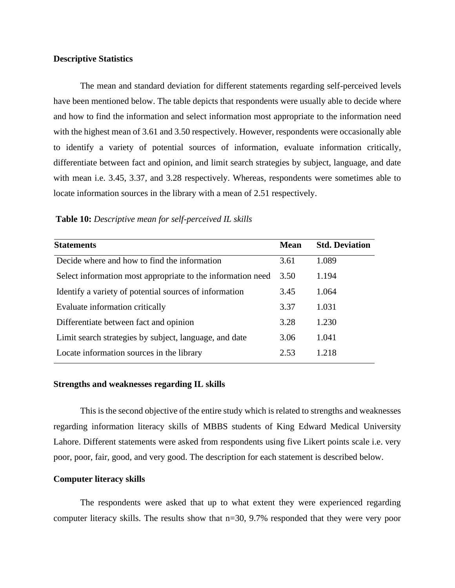#### **Descriptive Statistics**

The mean and standard deviation for different statements regarding self-perceived levels have been mentioned below. The table depicts that respondents were usually able to decide where and how to find the information and select information most appropriate to the information need with the highest mean of 3.61 and 3.50 respectively. However, respondents were occasionally able to identify a variety of potential sources of information, evaluate information critically, differentiate between fact and opinion, and limit search strategies by subject, language, and date with mean i.e. 3.45, 3.37, and 3.28 respectively. Whereas, respondents were sometimes able to locate information sources in the library with a mean of 2.51 respectively.

| <b>Table 10:</b> Descriptive mean for self-perceived IL skills |  |  |
|----------------------------------------------------------------|--|--|
|                                                                |  |  |

| <b>Statements</b>                                           | <b>Mean</b> | <b>Std. Deviation</b> |
|-------------------------------------------------------------|-------------|-----------------------|
| Decide where and how to find the information                | 3.61        | 1.089                 |
| Select information most appropriate to the information need | 3.50        | 1.194                 |
| Identify a variety of potential sources of information      | 3.45        | 1.064                 |
| Evaluate information critically                             | 3.37        | 1.031                 |
| Differentiate between fact and opinion                      | 3.28        | 1.230                 |
| Limit search strategies by subject, language, and date      | 3.06        | 1.041                 |
| Locate information sources in the library                   | 2.53        | 1.218                 |

#### **Strengths and weaknesses regarding IL skills**

This is the second objective of the entire study which is related to strengths and weaknesses regarding information literacy skills of MBBS students of King Edward Medical University Lahore. Different statements were asked from respondents using five Likert points scale i.e. very poor, poor, fair, good, and very good. The description for each statement is described below.

#### **Computer literacy skills**

The respondents were asked that up to what extent they were experienced regarding computer literacy skills. The results show that n=30, 9.7% responded that they were very poor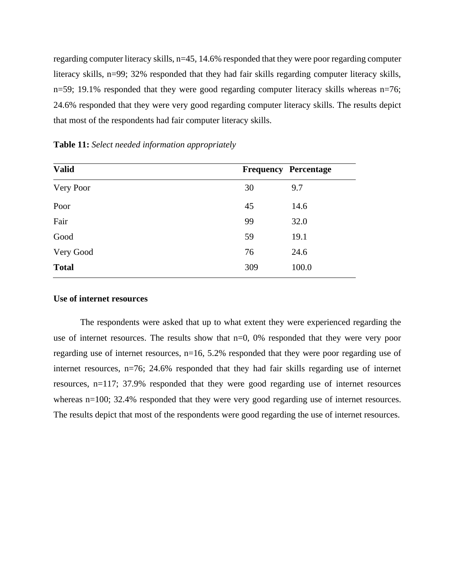regarding computer literacy skills, n=45, 14.6% responded that they were poor regarding computer literacy skills, n=99; 32% responded that they had fair skills regarding computer literacy skills, n=59; 19.1% responded that they were good regarding computer literacy skills whereas n=76; 24.6% responded that they were very good regarding computer literacy skills. The results depict that most of the respondents had fair computer literacy skills.

| <b>Valid</b> | <b>Frequency Percentage</b> |       |
|--------------|-----------------------------|-------|
| Very Poor    | 30                          | 9.7   |
| Poor         | 45                          | 14.6  |
| Fair         | 99                          | 32.0  |
| Good         | 59                          | 19.1  |
| Very Good    | 76                          | 24.6  |
| <b>Total</b> | 309                         | 100.0 |

**Table 11:** *Select needed information appropriately*

#### **Use of internet resources**

The respondents were asked that up to what extent they were experienced regarding the use of internet resources. The results show that n=0, 0% responded that they were very poor regarding use of internet resources, n=16, 5.2% responded that they were poor regarding use of internet resources, n=76; 24.6% responded that they had fair skills regarding use of internet resources, n=117; 37.9% responded that they were good regarding use of internet resources whereas n=100; 32.4% responded that they were very good regarding use of internet resources. The results depict that most of the respondents were good regarding the use of internet resources.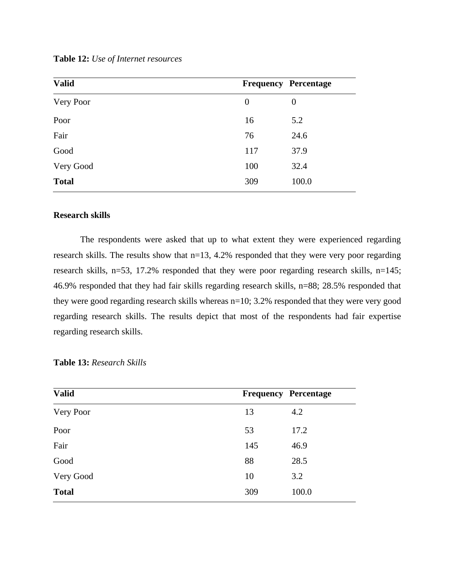**Table 12:** *Use of Internet resources*

| <b>Valid</b> | <b>Frequency Percentage</b> |                  |
|--------------|-----------------------------|------------------|
| Very Poor    | $\overline{0}$              | $\boldsymbol{0}$ |
| Poor         | 16                          | 5.2              |
| Fair         | 76                          | 24.6             |
| Good         | 117                         | 37.9             |
| Very Good    | 100                         | 32.4             |
| <b>Total</b> | 309                         | 100.0            |

#### **Research skills**

The respondents were asked that up to what extent they were experienced regarding research skills. The results show that n=13, 4.2% responded that they were very poor regarding research skills, n=53, 17.2% responded that they were poor regarding research skills, n=145; 46.9% responded that they had fair skills regarding research skills, n=88; 28.5% responded that they were good regarding research skills whereas n=10; 3.2% responded that they were very good regarding research skills. The results depict that most of the respondents had fair expertise regarding research skills.

| <b>Valid</b> | <b>Frequency Percentage</b> |       |
|--------------|-----------------------------|-------|
| Very Poor    | 13                          | 4.2   |
| Poor         | 53                          | 17.2  |
| Fair         | 145                         | 46.9  |
| Good         | 88                          | 28.5  |
| Very Good    | 10                          | 3.2   |
| <b>Total</b> | 309                         | 100.0 |

**Table 13:** *Research Skills*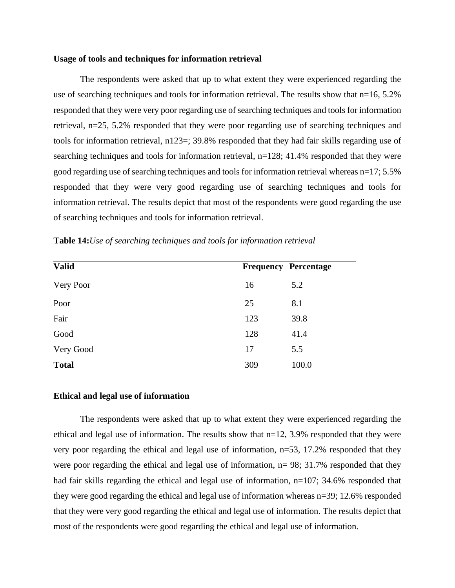#### **Usage of tools and techniques for information retrieval**

The respondents were asked that up to what extent they were experienced regarding the use of searching techniques and tools for information retrieval. The results show that n=16, 5.2% responded that they were very poor regarding use of searching techniques and tools for information retrieval, n=25, 5.2% responded that they were poor regarding use of searching techniques and tools for information retrieval, n123=; 39.8% responded that they had fair skills regarding use of searching techniques and tools for information retrieval, n=128; 41.4% responded that they were good regarding use of searching techniques and tools for information retrieval whereas n=17; 5.5% responded that they were very good regarding use of searching techniques and tools for information retrieval. The results depict that most of the respondents were good regarding the use of searching techniques and tools for information retrieval.

| <b>Valid</b> | <b>Frequency Percentage</b> |       |
|--------------|-----------------------------|-------|
| Very Poor    | 16                          | 5.2   |
| Poor         | 25                          | 8.1   |
| Fair         | 123                         | 39.8  |
| Good         | 128                         | 41.4  |
| Very Good    | 17                          | 5.5   |
| <b>Total</b> | 309                         | 100.0 |

**Table 14:***Use of searching techniques and tools for information retrieval*

#### **Ethical and legal use of information**

The respondents were asked that up to what extent they were experienced regarding the ethical and legal use of information. The results show that n=12, 3.9% responded that they were very poor regarding the ethical and legal use of information,  $n=53$ , 17.2% responded that they were poor regarding the ethical and legal use of information,  $n= 98$ ; 31.7% responded that they had fair skills regarding the ethical and legal use of information,  $n=107$ ; 34.6% responded that they were good regarding the ethical and legal use of information whereas n=39; 12.6% responded that they were very good regarding the ethical and legal use of information. The results depict that most of the respondents were good regarding the ethical and legal use of information.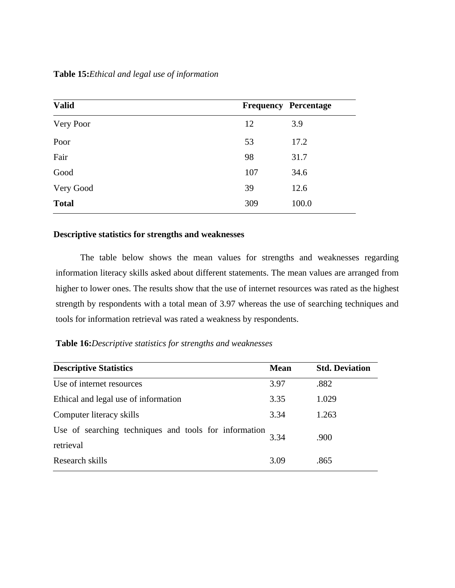| <b>Valid</b> |     | <b>Frequency Percentage</b> |
|--------------|-----|-----------------------------|
| Very Poor    | 12  | 3.9                         |
| Poor         | 53  | 17.2                        |
| Fair         | 98  | 31.7                        |
| Good         | 107 | 34.6                        |
| Very Good    | 39  | 12.6                        |
| <b>Total</b> | 309 | 100.0                       |

# **Descriptive statistics for strengths and weaknesses**

The table below shows the mean values for strengths and weaknesses regarding information literacy skills asked about different statements. The mean values are arranged from higher to lower ones. The results show that the use of internet resources was rated as the highest strength by respondents with a total mean of 3.97 whereas the use of searching techniques and tools for information retrieval was rated a weakness by respondents.

**Table 16:***Descriptive statistics for strengths and weaknesses* 

| <b>Descriptive Statistics</b>                                      | <b>Mean</b> | <b>Std. Deviation</b> |
|--------------------------------------------------------------------|-------------|-----------------------|
| Use of internet resources                                          | 3.97        | .882                  |
| Ethical and legal use of information                               | 3.35        | 1.029                 |
| Computer literacy skills                                           | 3.34        | 1.263                 |
| Use of searching techniques and tools for information<br>retrieval | 3.34        | .900                  |
| Research skills                                                    | 3.09        | .865                  |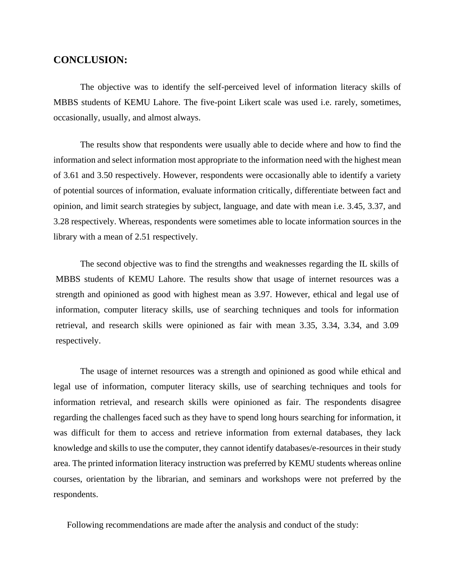# **CONCLUSION:**

The objective was to identify the self-perceived level of information literacy skills of MBBS students of KEMU Lahore. The five-point Likert scale was used i.e. rarely, sometimes, occasionally, usually, and almost always.

The results show that respondents were usually able to decide where and how to find the information and select information most appropriate to the information need with the highest mean of 3.61 and 3.50 respectively. However, respondents were occasionally able to identify a variety of potential sources of information, evaluate information critically, differentiate between fact and opinion, and limit search strategies by subject, language, and date with mean i.e. 3.45, 3.37, and 3.28 respectively. Whereas, respondents were sometimes able to locate information sources in the library with a mean of 2.51 respectively.

The second objective was to find the strengths and weaknesses regarding the IL skills of MBBS students of KEMU Lahore. The results show that usage of internet resources was a strength and opinioned as good with highest mean as 3.97. However, ethical and legal use of information, computer literacy skills, use of searching techniques and tools for information retrieval, and research skills were opinioned as fair with mean 3.35, 3.34, 3.34, and 3.09 respectively.

The usage of internet resources was a strength and opinioned as good while ethical and legal use of information, computer literacy skills, use of searching techniques and tools for information retrieval, and research skills were opinioned as fair. The respondents disagree regarding the challenges faced such as they have to spend long hours searching for information, it was difficult for them to access and retrieve information from external databases, they lack knowledge and skills to use the computer, they cannot identify databases/e-resources in their study area. The printed information literacy instruction was preferred by KEMU students whereas online courses, orientation by the librarian, and seminars and workshops were not preferred by the respondents.

Following recommendations are made after the analysis and conduct of the study: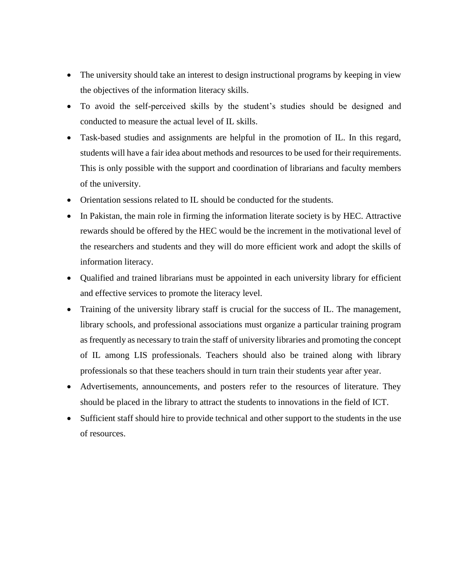- The university should take an interest to design instructional programs by keeping in view the objectives of the information literacy skills.
- To avoid the self-perceived skills by the student's studies should be designed and conducted to measure the actual level of IL skills.
- Task-based studies and assignments are helpful in the promotion of IL. In this regard, students will have a fair idea about methods and resources to be used for their requirements. This is only possible with the support and coordination of librarians and faculty members of the university.
- Orientation sessions related to IL should be conducted for the students.
- In Pakistan, the main role in firming the information literate society is by HEC. Attractive rewards should be offered by the HEC would be the increment in the motivational level of the researchers and students and they will do more efficient work and adopt the skills of information literacy.
- Qualified and trained librarians must be appointed in each university library for efficient and effective services to promote the literacy level.
- Training of the university library staff is crucial for the success of IL. The management, library schools, and professional associations must organize a particular training program as frequently as necessary to train the staff of university libraries and promoting the concept of IL among LIS professionals. Teachers should also be trained along with library professionals so that these teachers should in turn train their students year after year.
- Advertisements, announcements, and posters refer to the resources of literature. They should be placed in the library to attract the students to innovations in the field of ICT.
- Sufficient staff should hire to provide technical and other support to the students in the use of resources.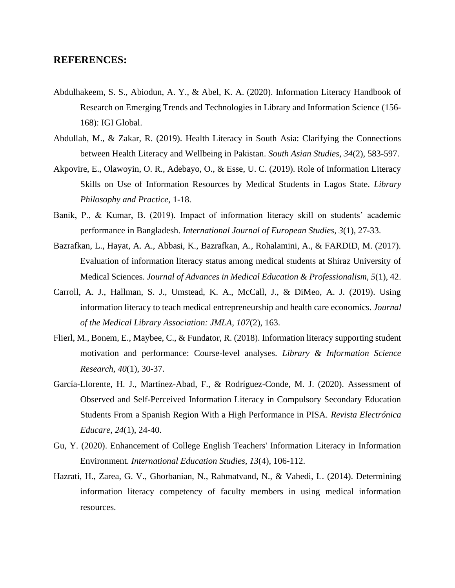### **REFERENCES:**

- Abdulhakeem, S. S., Abiodun, A. Y., & Abel, K. A. (2020). Information Literacy Handbook of Research on Emerging Trends and Technologies in Library and Information Science (156- 168): IGI Global.
- Abdullah, M., & Zakar, R. (2019). Health Literacy in South Asia: Clarifying the Connections between Health Literacy and Wellbeing in Pakistan. *South Asian Studies, 34*(2), 583-597.
- Akpovire, E., Olawoyin, O. R., Adebayo, O., & Esse, U. C. (2019). Role of Information Literacy Skills on Use of Information Resources by Medical Students in Lagos State. *Library Philosophy and Practice*, 1-18.
- Banik, P., & Kumar, B. (2019). Impact of information literacy skill on students' academic performance in Bangladesh. *International Journal of European Studies, 3*(1), 27-33.
- Bazrafkan, L., Hayat, A. A., Abbasi, K., Bazrafkan, A., Rohalamini, A., & FARDID, M. (2017). Evaluation of information literacy status among medical students at Shiraz University of Medical Sciences. *Journal of Advances in Medical Education & Professionalism, 5*(1), 42.
- Carroll, A. J., Hallman, S. J., Umstead, K. A., McCall, J., & DiMeo, A. J. (2019). Using information literacy to teach medical entrepreneurship and health care economics. *Journal of the Medical Library Association: JMLA, 107*(2), 163.
- Flierl, M., Bonem, E., Maybee, C., & Fundator, R. (2018). Information literacy supporting student motivation and performance: Course-level analyses. *Library & Information Science Research, 40*(1), 30-37.
- García-Llorente, H. J., Martínez-Abad, F., & Rodríguez-Conde, M. J. (2020). Assessment of Observed and Self-Perceived Information Literacy in Compulsory Secondary Education Students From a Spanish Region With a High Performance in PISA. *Revista Electrónica Educare, 24*(1), 24-40.
- Gu, Y. (2020). Enhancement of College English Teachers' Information Literacy in Information Environment. *International Education Studies, 13*(4), 106-112.
- Hazrati, H., Zarea, G. V., Ghorbanian, N., Rahmatvand, N., & Vahedi, L. (2014). Determining information literacy competency of faculty members in using medical information resources.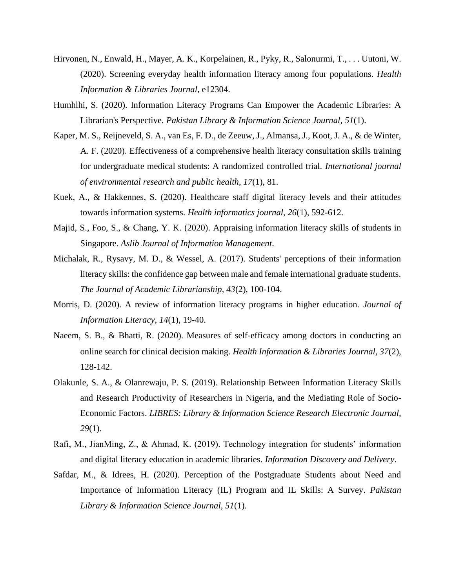- Hirvonen, N., Enwald, H., Mayer, A. K., Korpelainen, R., Pyky, R., Salonurmi, T., . . . Uutoni, W. (2020). Screening everyday health information literacy among four populations. *Health Information & Libraries Journal*, e12304.
- Humhlhi, S. (2020). Information Literacy Programs Can Empower the Academic Libraries: A Librarian's Perspective. *Pakistan Library & Information Science Journal, 51*(1).
- Kaper, M. S., Reijneveld, S. A., van Es, F. D., de Zeeuw, J., Almansa, J., Koot, J. A., & de Winter, A. F. (2020). Effectiveness of a comprehensive health literacy consultation skills training for undergraduate medical students: A randomized controlled trial. *International journal of environmental research and public health, 17*(1), 81.
- Kuek, A., & Hakkennes, S. (2020). Healthcare staff digital literacy levels and their attitudes towards information systems. *Health informatics journal, 26*(1), 592-612.
- Majid, S., Foo, S., & Chang, Y. K. (2020). Appraising information literacy skills of students in Singapore. *Aslib Journal of Information Management*.
- Michalak, R., Rysavy, M. D., & Wessel, A. (2017). Students' perceptions of their information literacy skills: the confidence gap between male and female international graduate students. *The Journal of Academic Librarianship, 43*(2), 100-104.
- Morris, D. (2020). A review of information literacy programs in higher education. *Journal of Information Literacy, 14*(1), 19-40.
- Naeem, S. B., & Bhatti, R. (2020). Measures of self-efficacy among doctors in conducting an online search for clinical decision making. *Health Information & Libraries Journal, 37*(2), 128-142.
- Olakunle, S. A., & Olanrewaju, P. S. (2019). Relationship Between Information Literacy Skills and Research Productivity of Researchers in Nigeria, and the Mediating Role of Socio-Economic Factors. *LIBRES: Library & Information Science Research Electronic Journal, 29*(1).
- Rafi, M., JianMing, Z., & Ahmad, K. (2019). Technology integration for students' information and digital literacy education in academic libraries. *Information Discovery and Delivery*.
- Safdar, M., & Idrees, H. (2020). Perception of the Postgraduate Students about Need and Importance of Information Literacy (IL) Program and IL Skills: A Survey. *Pakistan Library & Information Science Journal, 51*(1).